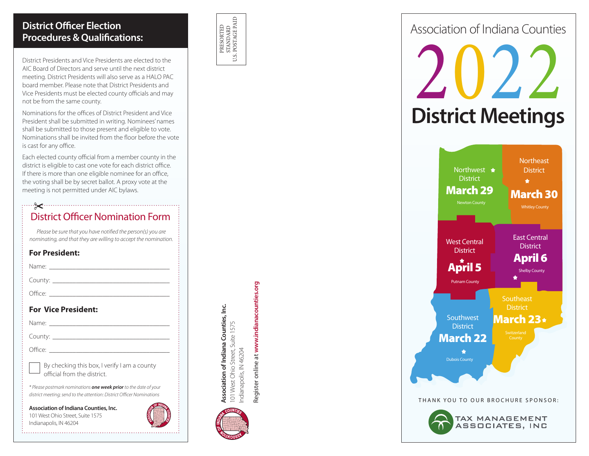# **District Officer Election Procedures & Qualifications:**

District Presidents and Vice Presidents are elected to the AIC Board of Directors and serve until the next district meeting. District Presidents will also serve as a HALO PAC board member. Please note that District Presidents and Vice Presidents must be elected county officials and may not be from the same county.

Nominations for the offices of District President and Vice President shall be submitted in writing. Nominees' names shall be submitted to those present and eligible to vote. Nominations shall be invited from the floor before the vote is cast for any office.

Each elected county official from a member county in the district is eligible to cast one vote for each district office. If there is more than one eligible nominee for an office, the voting shall be by secret ballot. A proxy vote at the meeting is not permitted under AIC bylaws.

### District Officer Nomination Form

*Please be sure that you have notified the person(s) you are nominating, and that they are willing to accept the nomination.*

#### **For President:**

Name: \_\_\_\_\_\_\_\_\_\_\_\_\_\_\_\_\_\_\_\_\_\_\_\_\_\_\_\_\_\_\_\_\_\_\_\_

County: \_\_\_\_\_\_\_\_\_\_\_\_\_\_\_\_\_\_\_\_\_\_\_\_\_\_\_\_\_\_\_\_\_\_\_

Office: \_\_\_\_\_\_\_\_\_\_\_\_\_\_\_\_\_\_\_\_\_\_\_\_\_\_\_\_\_\_\_\_\_\_\_\_

#### **For Vice President:**

Name:  $\blacksquare$ 

County:

Office:

By checking this box, I verify I am a county official from the district.

*\* Please postmark nominations one week prior to the date of your district meeting; send to the attention: District Officer Nominations*

**Association of Indiana Counties, Inc.** 101 West Ohio Street, Suite 1575 Indianapolis, IN 46204



PRESORTED<br>STANDARD<br>U.S. POSTAGE PAID U.S. POSTAGE PAID PRESORTED STANDARD

Register online at **www.indianacounties.org**

Register online at www.indianacounties.org

Indianapolis, IN 46204

101 West Ohio Street, Suite 1575<br>ndianapolis, IN 46204

**Association of Indiana Counties, Inc.** 101 West Ohio Street, Suite 1575

Association of Indiana Counties, Inc.